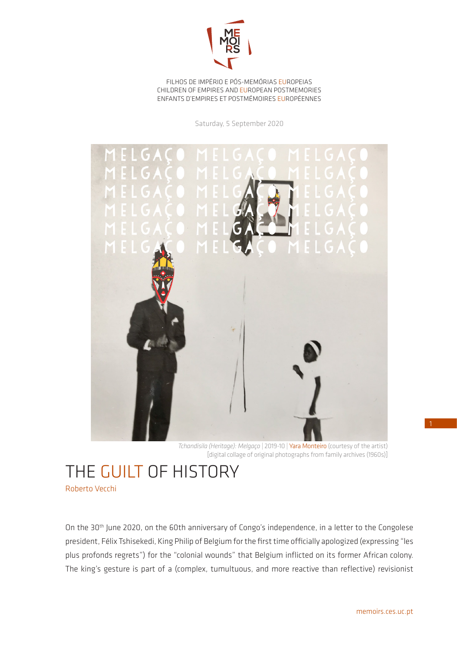

FILHOS DE IMPÉRIO E PÓS-MEMÓRIAS EUROPEIAS CHILDREN OF EMPIRES AND EUROPEAN POSTMEMORIES ENFANTS D'EMPIRES ET POSTMÉMOIRES EUROPÉENNES

Saturday, 5 September 2020



*Tchandisila (Heritage): Melgaço* | 2019-10 | Yara Monteiro (courtesy of the artist) [digital collage of original photographs from family archives (1960s)]

## THE GUILT OF HISTORY

Roberto Vecchi

On the 30<sup>th</sup> June 2020, on the 60th anniversary of Congo's independence, in a letter to the Congolese president, Félix Tshisekedi, King Philip of Belgium for the first time officially apologized (expressing "les plus profonds regrets") for the "colonial wounds" that Belgium inflicted on its former African colony. The king's gesture is part of a (complex, tumultuous, and more reactive than reflective) revisionist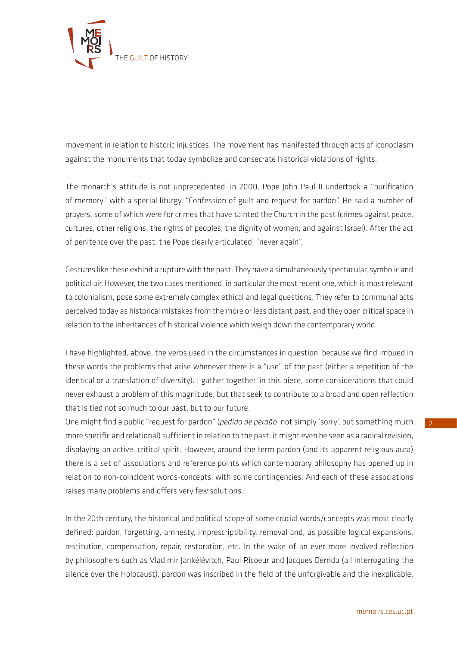

movement in relation to historic injustices. The movement has manifested through acts of iconoclasm against the monuments that today symbolize and consecrate historical violations of rights.

The monarch's attitude is not unprecedented: in 2000, Pope John Paul II undertook a "purification of memory" with a special liturgy, "Confession of guilt and request for pardon". He said a number of prayers, some of which were for crimes that have tainted the Church in the past (crimes against peace, cultures, other religions, the rights of peoples, the dignity of women, and against Israel). After the act of penitence over the past, the Pope clearly articulated, "never again".

Gestures like these exhibit a rupture with the past. They have a simultaneously spectacular, symbolic and political air. However, the two cases mentioned, in particular the most recent one, which is most relevant to colonialism, pose some extremely complex ethical and legal questions. They refer to communal acts perceived today as historical mistakes from the more or less distant past, and they open critical space in relation to the inheritances of historical violence which weigh down the contemporary world.

I have highlighted, above, the verbs used in the circumstances in question, because we find imbued in these words the problems that arise whenever there is a "use" of the past (either a repetition of the identical or a translation of diversity). I gather together, in this piece, some considerations that could never exhaust a problem of this magnitude, but that seek to contribute to a broad and open reflection that is tied not so much to our past, but to our future.

One might find a public "request for pardon" (*pedido de perdão*: not simply 'sorry', but something much more specific and relational) sufficient in relation to the past: it might even be seen as a radical revision, displaying an active, critical spirit. However, around the term pardon (and its apparent religious aura) there is a set of associations and reference points which contemporary philosophy has opened up in relation to non-coincident words-concepts, with some contingencies. And each of these associations raises many problems and offers very few solutions.

In the 20th century, the historical and political scope of some crucial words/concepts was most clearly defined: pardon, forgetting, amnesty, imprescriptibility, removal and, as possible logical expansions, restitution, compensation, repair, restoration, etc. In the wake of an ever more involved reflection by philosophers such as Vladimir Jankélévitch, Paul Ricoeur and Jacques Derrida (all interrogating the silence over the Holocaust), pardon was inscribed in the field of the unforgivable and the inexplicable.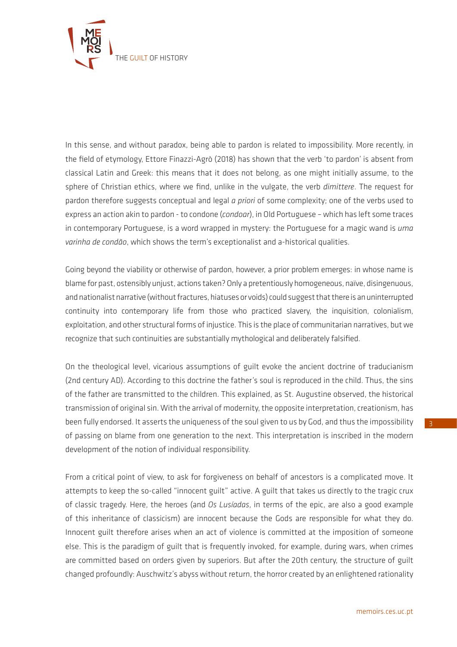

In this sense, and without paradox, being able to pardon is related to impossibility. More recently, in the field of etymology, Ettore Finazzi-Agrò (2018) has shown that the verb 'to pardon' is absent from classical Latin and Greek: this means that it does not belong, as one might initially assume, to the sphere of Christian ethics, where we find, unlike in the vulgate, the verb *dimittere*. The request for pardon therefore suggests conceptual and legal *a priori* of some complexity; one of the verbs used to express an action akin to pardon - to condone (*condoar*), in Old Portuguese – which has left some traces in contemporary Portuguese, is a word wrapped in mystery: the Portuguese for a magic wand is *uma varinha de condão*, which shows the term's exceptionalist and a-historical qualities.

Going beyond the viability or otherwise of pardon, however, a prior problem emerges: in whose name is blame for past, ostensibly unjust, actions taken? Only a pretentiously homogeneous, naïve, disingenuous, and nationalist narrative (without fractures, hiatuses or voids) could suggest that there is an uninterrupted continuity into contemporary life from those who practiced slavery, the inquisition, colonialism, exploitation, and other structural forms of injustice. This is the place of communitarian narratives, but we recognize that such continuities are substantially mythological and deliberately falsified.

On the theological level, vicarious assumptions of guilt evoke the ancient doctrine of traducianism (2nd century AD). According to this doctrine the father's soul is reproduced in the child. Thus, the sins of the father are transmitted to the children. This explained, as St. Augustine observed, the historical transmission of original sin. With the arrival of modernity, the opposite interpretation, creationism, has been fully endorsed. It asserts the uniqueness of the soul given to us by God, and thus the impossibility of passing on blame from one generation to the next. This interpretation is inscribed in the modern development of the notion of individual responsibility.

From a critical point of view, to ask for forgiveness on behalf of ancestors is a complicated move. It attempts to keep the so-called "innocent guilt" active. A guilt that takes us directly to the tragic crux of classic tragedy. Here, the heroes (and *Os Lusíadas*, in terms of the epic, are also a good example of this inheritance of classicism) are innocent because the Gods are responsible for what they do. Innocent guilt therefore arises when an act of violence is committed at the imposition of someone else. This is the paradigm of guilt that is frequently invoked, for example, during wars, when crimes are committed based on orders given by superiors. But after the 20th century, the structure of guilt changed profoundly: Auschwitz's abyss without return, the horror created by an enlightened rationality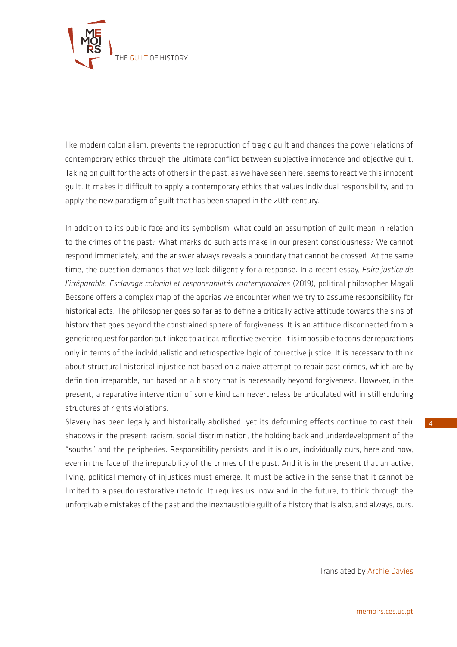

like modern colonialism, prevents the reproduction of tragic guilt and changes the power relations of contemporary ethics through the ultimate conflict between subjective innocence and objective guilt. Taking on guilt for the acts of others in the past, as we have seen here, seems to reactive this innocent guilt. It makes it difficult to apply a contemporary ethics that values individual responsibility, and to apply the new paradigm of guilt that has been shaped in the 20th century.

In addition to its public face and its symbolism, what could an assumption of guilt mean in relation to the crimes of the past? What marks do such acts make in our present consciousness? We cannot respond immediately, and the answer always reveals a boundary that cannot be crossed. At the same time, the question demands that we look diligently for a response. In a recent essay, *Faire justice de l'irréparable. Esclavage colonial et responsabilités contemporaines (2019)*, political philosopher Magali Bessone offers a complex map of the aporias we encounter when we try to assume responsibility for historical acts. The philosopher goes so far as to define a critically active attitude towards the sins of history that goes beyond the constrained sphere of forgiveness. It is an attitude disconnected from a generic request for pardon but linked to a clear, reflective exercise. It is impossible to consider reparations only in terms of the individualistic and retrospective logic of corrective justice. It is necessary to think about structural historical injustice not based on a naive attempt to repair past crimes, which are by definition irreparable, but based on a history that is necessarily beyond forgiveness. However, in the present, a reparative intervention of some kind can nevertheless be articulated within still enduring structures of rights violations.

Slavery has been legally and historically abolished, yet its deforming effects continue to cast their shadows in the present: racism, social discrimination, the holding back and underdevelopment of the "souths" and the peripheries. Responsibility persists, and it is ours, individually ours, here and now, even in the face of the irreparability of the crimes of the past. And it is in the present that an active, living, political memory of injustices must emerge. It must be active in the sense that it cannot be limited to a pseudo-restorative rhetoric. It requires us, now and in the future, to think through the unforgivable mistakes of the past and the inexhaustible guilt of a history that is also, and always, ours.

Translated by Archie Davies

4